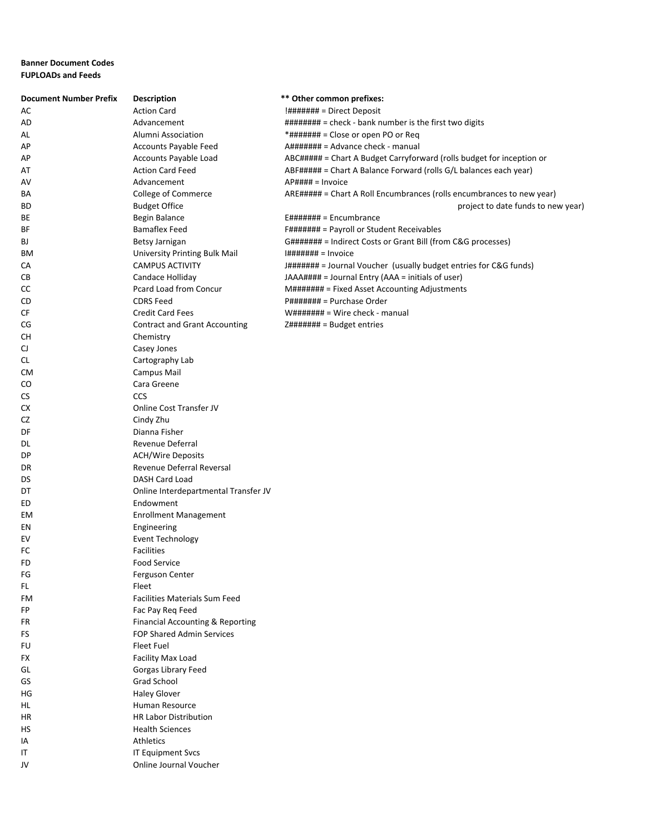## **Banner Document Codes FUPLOADs and Feeds**

| <b>Action Card</b><br>$\frac{1}{4}$ $\frac{1}{4}$ $\frac{1}{4}$ $\frac{1}{4}$ $\frac{1}{4}$ $\frac{1}{4}$ $\frac{1}{4}$ $\frac{1}{4}$ $\frac{1}{4}$ $\frac{1}{4}$ $\frac{1}{4}$ $\frac{1}{4}$ $\frac{1}{4}$ $\frac{1}{4}$ $\frac{1}{4}$ $\frac{1}{4}$ $\frac{1}{4}$ $\frac{1}{4}$ $\frac{1}{4}$ $\frac{1}{4}$ $\frac{1}{4}$ $\frac{1}{4}$<br>AC<br>######## = check - bank number is the first two digits<br>AD<br>Advancement<br>*####### = Close or open PO or Req<br>Alumni Association<br>AL<br>Accounts Payable Feed<br>A####### = Advance check - manual<br>АP<br>ABC##### = Chart A Budget Carryforward (rolls budget for inception or<br>Accounts Payable Load<br>АP<br><b>Action Card Feed</b><br>ABF##### = Chart A Balance Forward (rolls G/L balances each year)<br>AT<br>Advancement<br>$AP$ #### = Invoice<br>AV<br>ARE##### = Chart A Roll Encumbrances (rolls encumbrances to new year)<br>College of Commerce<br>BA<br>ВD<br><b>Budget Office</b><br>project to date funds to new year)<br>Begin Balance<br>$E\#H\#H\#H =$ Encumbrance<br>BE<br><b>Bamaflex Feed</b><br>F####### = Payroll or Student Receivables<br>ВF<br>G####### = Indirect Costs or Grant Bill (from C&G processes)<br>BJ<br>Betsy Jarnigan<br>University Printing Bulk Mail<br>$H\#H\#H\#H = Invoice$<br>ВM<br>СA<br><b>CAMPUS ACTIVITY</b><br>J####### = Journal Voucher (usually budget entries for C&G funds)<br>CВ<br>Candace Holliday<br>JAAA#### = Journal Entry (AAA = initials of user)<br>Pcard Load from Concur<br>СC<br>M####### = Fixed Asset Accounting Adjustments<br><b>CDRS Feed</b><br>CD<br>P####### = Purchase Order<br><b>Credit Card Fees</b><br>СF<br><b>Contract and Grant Accounting</b><br>$Z\# \# \# \# \# \# =$ Budget entries<br>CG<br>CН<br>Chemistry |  |
|--------------------------------------------------------------------------------------------------------------------------------------------------------------------------------------------------------------------------------------------------------------------------------------------------------------------------------------------------------------------------------------------------------------------------------------------------------------------------------------------------------------------------------------------------------------------------------------------------------------------------------------------------------------------------------------------------------------------------------------------------------------------------------------------------------------------------------------------------------------------------------------------------------------------------------------------------------------------------------------------------------------------------------------------------------------------------------------------------------------------------------------------------------------------------------------------------------------------------------------------------------------------------------------------------------------------------------------------------------------------------------------------------------------------------------------------------------------------------------------------------------------------------------------------------------------------------------------------------------------------------------------------------------------------------------------------------------------------------------------------------------------------------|--|
|                                                                                                                                                                                                                                                                                                                                                                                                                                                                                                                                                                                                                                                                                                                                                                                                                                                                                                                                                                                                                                                                                                                                                                                                                                                                                                                                                                                                                                                                                                                                                                                                                                                                                                                                                                          |  |
|                                                                                                                                                                                                                                                                                                                                                                                                                                                                                                                                                                                                                                                                                                                                                                                                                                                                                                                                                                                                                                                                                                                                                                                                                                                                                                                                                                                                                                                                                                                                                                                                                                                                                                                                                                          |  |
|                                                                                                                                                                                                                                                                                                                                                                                                                                                                                                                                                                                                                                                                                                                                                                                                                                                                                                                                                                                                                                                                                                                                                                                                                                                                                                                                                                                                                                                                                                                                                                                                                                                                                                                                                                          |  |
|                                                                                                                                                                                                                                                                                                                                                                                                                                                                                                                                                                                                                                                                                                                                                                                                                                                                                                                                                                                                                                                                                                                                                                                                                                                                                                                                                                                                                                                                                                                                                                                                                                                                                                                                                                          |  |
|                                                                                                                                                                                                                                                                                                                                                                                                                                                                                                                                                                                                                                                                                                                                                                                                                                                                                                                                                                                                                                                                                                                                                                                                                                                                                                                                                                                                                                                                                                                                                                                                                                                                                                                                                                          |  |
|                                                                                                                                                                                                                                                                                                                                                                                                                                                                                                                                                                                                                                                                                                                                                                                                                                                                                                                                                                                                                                                                                                                                                                                                                                                                                                                                                                                                                                                                                                                                                                                                                                                                                                                                                                          |  |
|                                                                                                                                                                                                                                                                                                                                                                                                                                                                                                                                                                                                                                                                                                                                                                                                                                                                                                                                                                                                                                                                                                                                                                                                                                                                                                                                                                                                                                                                                                                                                                                                                                                                                                                                                                          |  |
|                                                                                                                                                                                                                                                                                                                                                                                                                                                                                                                                                                                                                                                                                                                                                                                                                                                                                                                                                                                                                                                                                                                                                                                                                                                                                                                                                                                                                                                                                                                                                                                                                                                                                                                                                                          |  |
|                                                                                                                                                                                                                                                                                                                                                                                                                                                                                                                                                                                                                                                                                                                                                                                                                                                                                                                                                                                                                                                                                                                                                                                                                                                                                                                                                                                                                                                                                                                                                                                                                                                                                                                                                                          |  |
|                                                                                                                                                                                                                                                                                                                                                                                                                                                                                                                                                                                                                                                                                                                                                                                                                                                                                                                                                                                                                                                                                                                                                                                                                                                                                                                                                                                                                                                                                                                                                                                                                                                                                                                                                                          |  |
|                                                                                                                                                                                                                                                                                                                                                                                                                                                                                                                                                                                                                                                                                                                                                                                                                                                                                                                                                                                                                                                                                                                                                                                                                                                                                                                                                                                                                                                                                                                                                                                                                                                                                                                                                                          |  |
|                                                                                                                                                                                                                                                                                                                                                                                                                                                                                                                                                                                                                                                                                                                                                                                                                                                                                                                                                                                                                                                                                                                                                                                                                                                                                                                                                                                                                                                                                                                                                                                                                                                                                                                                                                          |  |
|                                                                                                                                                                                                                                                                                                                                                                                                                                                                                                                                                                                                                                                                                                                                                                                                                                                                                                                                                                                                                                                                                                                                                                                                                                                                                                                                                                                                                                                                                                                                                                                                                                                                                                                                                                          |  |
|                                                                                                                                                                                                                                                                                                                                                                                                                                                                                                                                                                                                                                                                                                                                                                                                                                                                                                                                                                                                                                                                                                                                                                                                                                                                                                                                                                                                                                                                                                                                                                                                                                                                                                                                                                          |  |
|                                                                                                                                                                                                                                                                                                                                                                                                                                                                                                                                                                                                                                                                                                                                                                                                                                                                                                                                                                                                                                                                                                                                                                                                                                                                                                                                                                                                                                                                                                                                                                                                                                                                                                                                                                          |  |
|                                                                                                                                                                                                                                                                                                                                                                                                                                                                                                                                                                                                                                                                                                                                                                                                                                                                                                                                                                                                                                                                                                                                                                                                                                                                                                                                                                                                                                                                                                                                                                                                                                                                                                                                                                          |  |
|                                                                                                                                                                                                                                                                                                                                                                                                                                                                                                                                                                                                                                                                                                                                                                                                                                                                                                                                                                                                                                                                                                                                                                                                                                                                                                                                                                                                                                                                                                                                                                                                                                                                                                                                                                          |  |
|                                                                                                                                                                                                                                                                                                                                                                                                                                                                                                                                                                                                                                                                                                                                                                                                                                                                                                                                                                                                                                                                                                                                                                                                                                                                                                                                                                                                                                                                                                                                                                                                                                                                                                                                                                          |  |
|                                                                                                                                                                                                                                                                                                                                                                                                                                                                                                                                                                                                                                                                                                                                                                                                                                                                                                                                                                                                                                                                                                                                                                                                                                                                                                                                                                                                                                                                                                                                                                                                                                                                                                                                                                          |  |
|                                                                                                                                                                                                                                                                                                                                                                                                                                                                                                                                                                                                                                                                                                                                                                                                                                                                                                                                                                                                                                                                                                                                                                                                                                                                                                                                                                                                                                                                                                                                                                                                                                                                                                                                                                          |  |
| CJ<br>Casey Jones                                                                                                                                                                                                                                                                                                                                                                                                                                                                                                                                                                                                                                                                                                                                                                                                                                                                                                                                                                                                                                                                                                                                                                                                                                                                                                                                                                                                                                                                                                                                                                                                                                                                                                                                                        |  |
| CL.<br>Cartography Lab                                                                                                                                                                                                                                                                                                                                                                                                                                                                                                                                                                                                                                                                                                                                                                                                                                                                                                                                                                                                                                                                                                                                                                                                                                                                                                                                                                                                                                                                                                                                                                                                                                                                                                                                                   |  |
| <b>Campus Mail</b><br>CM                                                                                                                                                                                                                                                                                                                                                                                                                                                                                                                                                                                                                                                                                                                                                                                                                                                                                                                                                                                                                                                                                                                                                                                                                                                                                                                                                                                                                                                                                                                                                                                                                                                                                                                                                 |  |
| Cara Greene<br>CO                                                                                                                                                                                                                                                                                                                                                                                                                                                                                                                                                                                                                                                                                                                                                                                                                                                                                                                                                                                                                                                                                                                                                                                                                                                                                                                                                                                                                                                                                                                                                                                                                                                                                                                                                        |  |
| CCS<br>CS                                                                                                                                                                                                                                                                                                                                                                                                                                                                                                                                                                                                                                                                                                                                                                                                                                                                                                                                                                                                                                                                                                                                                                                                                                                                                                                                                                                                                                                                                                                                                                                                                                                                                                                                                                |  |
| СX<br>Online Cost Transfer JV                                                                                                                                                                                                                                                                                                                                                                                                                                                                                                                                                                                                                                                                                                                                                                                                                                                                                                                                                                                                                                                                                                                                                                                                                                                                                                                                                                                                                                                                                                                                                                                                                                                                                                                                            |  |
| Cindy Zhu<br>CZ                                                                                                                                                                                                                                                                                                                                                                                                                                                                                                                                                                                                                                                                                                                                                                                                                                                                                                                                                                                                                                                                                                                                                                                                                                                                                                                                                                                                                                                                                                                                                                                                                                                                                                                                                          |  |
| DF<br>Dianna Fisher                                                                                                                                                                                                                                                                                                                                                                                                                                                                                                                                                                                                                                                                                                                                                                                                                                                                                                                                                                                                                                                                                                                                                                                                                                                                                                                                                                                                                                                                                                                                                                                                                                                                                                                                                      |  |
| Revenue Deferral<br>DL                                                                                                                                                                                                                                                                                                                                                                                                                                                                                                                                                                                                                                                                                                                                                                                                                                                                                                                                                                                                                                                                                                                                                                                                                                                                                                                                                                                                                                                                                                                                                                                                                                                                                                                                                   |  |
| DP<br><b>ACH/Wire Deposits</b>                                                                                                                                                                                                                                                                                                                                                                                                                                                                                                                                                                                                                                                                                                                                                                                                                                                                                                                                                                                                                                                                                                                                                                                                                                                                                                                                                                                                                                                                                                                                                                                                                                                                                                                                           |  |
| Revenue Deferral Reversal<br>DR                                                                                                                                                                                                                                                                                                                                                                                                                                                                                                                                                                                                                                                                                                                                                                                                                                                                                                                                                                                                                                                                                                                                                                                                                                                                                                                                                                                                                                                                                                                                                                                                                                                                                                                                          |  |
| DASH Card Load<br>DS                                                                                                                                                                                                                                                                                                                                                                                                                                                                                                                                                                                                                                                                                                                                                                                                                                                                                                                                                                                                                                                                                                                                                                                                                                                                                                                                                                                                                                                                                                                                                                                                                                                                                                                                                     |  |
| Online Interdepartmental Transfer JV<br>DT                                                                                                                                                                                                                                                                                                                                                                                                                                                                                                                                                                                                                                                                                                                                                                                                                                                                                                                                                                                                                                                                                                                                                                                                                                                                                                                                                                                                                                                                                                                                                                                                                                                                                                                               |  |
| Endowment<br>ED                                                                                                                                                                                                                                                                                                                                                                                                                                                                                                                                                                                                                                                                                                                                                                                                                                                                                                                                                                                                                                                                                                                                                                                                                                                                                                                                                                                                                                                                                                                                                                                                                                                                                                                                                          |  |
| <b>Enrollment Management</b><br>EM                                                                                                                                                                                                                                                                                                                                                                                                                                                                                                                                                                                                                                                                                                                                                                                                                                                                                                                                                                                                                                                                                                                                                                                                                                                                                                                                                                                                                                                                                                                                                                                                                                                                                                                                       |  |
| ΕN<br>Engineering                                                                                                                                                                                                                                                                                                                                                                                                                                                                                                                                                                                                                                                                                                                                                                                                                                                                                                                                                                                                                                                                                                                                                                                                                                                                                                                                                                                                                                                                                                                                                                                                                                                                                                                                                        |  |
| EV<br><b>Event Technology</b>                                                                                                                                                                                                                                                                                                                                                                                                                                                                                                                                                                                                                                                                                                                                                                                                                                                                                                                                                                                                                                                                                                                                                                                                                                                                                                                                                                                                                                                                                                                                                                                                                                                                                                                                            |  |
| FC<br><b>Facilities</b>                                                                                                                                                                                                                                                                                                                                                                                                                                                                                                                                                                                                                                                                                                                                                                                                                                                                                                                                                                                                                                                                                                                                                                                                                                                                                                                                                                                                                                                                                                                                                                                                                                                                                                                                                  |  |
| <b>FD</b><br><b>Food Service</b>                                                                                                                                                                                                                                                                                                                                                                                                                                                                                                                                                                                                                                                                                                                                                                                                                                                                                                                                                                                                                                                                                                                                                                                                                                                                                                                                                                                                                                                                                                                                                                                                                                                                                                                                         |  |
| FG<br>Ferguson Center                                                                                                                                                                                                                                                                                                                                                                                                                                                                                                                                                                                                                                                                                                                                                                                                                                                                                                                                                                                                                                                                                                                                                                                                                                                                                                                                                                                                                                                                                                                                                                                                                                                                                                                                                    |  |
| FL.<br>Fleet                                                                                                                                                                                                                                                                                                                                                                                                                                                                                                                                                                                                                                                                                                                                                                                                                                                                                                                                                                                                                                                                                                                                                                                                                                                                                                                                                                                                                                                                                                                                                                                                                                                                                                                                                             |  |
| <b>Facilities Materials Sum Feed</b><br>FM                                                                                                                                                                                                                                                                                                                                                                                                                                                                                                                                                                                                                                                                                                                                                                                                                                                                                                                                                                                                                                                                                                                                                                                                                                                                                                                                                                                                                                                                                                                                                                                                                                                                                                                               |  |
| FP<br>Fac Pay Req Feed                                                                                                                                                                                                                                                                                                                                                                                                                                                                                                                                                                                                                                                                                                                                                                                                                                                                                                                                                                                                                                                                                                                                                                                                                                                                                                                                                                                                                                                                                                                                                                                                                                                                                                                                                   |  |
| Financial Accounting & Reporting<br>FR                                                                                                                                                                                                                                                                                                                                                                                                                                                                                                                                                                                                                                                                                                                                                                                                                                                                                                                                                                                                                                                                                                                                                                                                                                                                                                                                                                                                                                                                                                                                                                                                                                                                                                                                   |  |
| FOP Shared Admin Services<br>FS                                                                                                                                                                                                                                                                                                                                                                                                                                                                                                                                                                                                                                                                                                                                                                                                                                                                                                                                                                                                                                                                                                                                                                                                                                                                                                                                                                                                                                                                                                                                                                                                                                                                                                                                          |  |
| Fleet Fuel<br>FU                                                                                                                                                                                                                                                                                                                                                                                                                                                                                                                                                                                                                                                                                                                                                                                                                                                                                                                                                                                                                                                                                                                                                                                                                                                                                                                                                                                                                                                                                                                                                                                                                                                                                                                                                         |  |
| FX<br>Facility Max Load                                                                                                                                                                                                                                                                                                                                                                                                                                                                                                                                                                                                                                                                                                                                                                                                                                                                                                                                                                                                                                                                                                                                                                                                                                                                                                                                                                                                                                                                                                                                                                                                                                                                                                                                                  |  |
| Gorgas Library Feed<br>GL                                                                                                                                                                                                                                                                                                                                                                                                                                                                                                                                                                                                                                                                                                                                                                                                                                                                                                                                                                                                                                                                                                                                                                                                                                                                                                                                                                                                                                                                                                                                                                                                                                                                                                                                                |  |
| <b>Grad School</b><br>GS                                                                                                                                                                                                                                                                                                                                                                                                                                                                                                                                                                                                                                                                                                                                                                                                                                                                                                                                                                                                                                                                                                                                                                                                                                                                                                                                                                                                                                                                                                                                                                                                                                                                                                                                                 |  |
| <b>Haley Glover</b><br>ΗG                                                                                                                                                                                                                                                                                                                                                                                                                                                                                                                                                                                                                                                                                                                                                                                                                                                                                                                                                                                                                                                                                                                                                                                                                                                                                                                                                                                                                                                                                                                                                                                                                                                                                                                                                |  |
| Human Resource<br>HL.                                                                                                                                                                                                                                                                                                                                                                                                                                                                                                                                                                                                                                                                                                                                                                                                                                                                                                                                                                                                                                                                                                                                                                                                                                                                                                                                                                                                                                                                                                                                                                                                                                                                                                                                                    |  |
| <b>HR Labor Distribution</b><br>HR                                                                                                                                                                                                                                                                                                                                                                                                                                                                                                                                                                                                                                                                                                                                                                                                                                                                                                                                                                                                                                                                                                                                                                                                                                                                                                                                                                                                                                                                                                                                                                                                                                                                                                                                       |  |
| <b>Health Sciences</b><br>НS                                                                                                                                                                                                                                                                                                                                                                                                                                                                                                                                                                                                                                                                                                                                                                                                                                                                                                                                                                                                                                                                                                                                                                                                                                                                                                                                                                                                                                                                                                                                                                                                                                                                                                                                             |  |
| Athletics<br>IA                                                                                                                                                                                                                                                                                                                                                                                                                                                                                                                                                                                                                                                                                                                                                                                                                                                                                                                                                                                                                                                                                                                                                                                                                                                                                                                                                                                                                                                                                                                                                                                                                                                                                                                                                          |  |
| IT<br><b>IT Equipment Svcs</b>                                                                                                                                                                                                                                                                                                                                                                                                                                                                                                                                                                                                                                                                                                                                                                                                                                                                                                                                                                                                                                                                                                                                                                                                                                                                                                                                                                                                                                                                                                                                                                                                                                                                                                                                           |  |
| Online Journal Voucher<br>JV                                                                                                                                                                                                                                                                                                                                                                                                                                                                                                                                                                                                                                                                                                                                                                                                                                                                                                                                                                                                                                                                                                                                                                                                                                                                                                                                                                                                                                                                                                                                                                                                                                                                                                                                             |  |